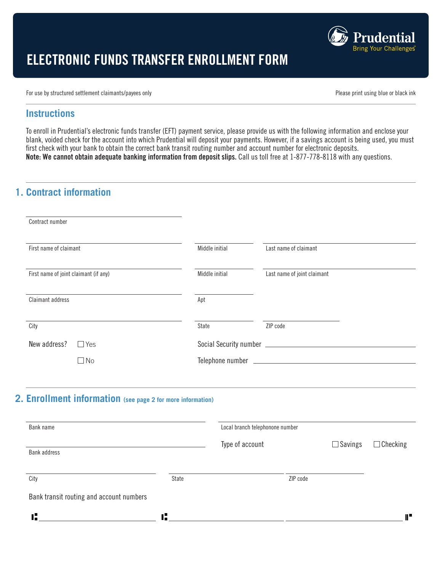

# ELECTRONIC FUNDS TRANSFER ENROLLMENT FORM

For use by structured settlement claimants/payees only expressed by the control of the prince of the prince of the print using blue or black ink ink

changes to the above banking information. I/we also represent that the above cited bank account has been set up

#### **Instructions**

To enroll in Prudential's electronic funds transfer (EFT) payment service, please provide us with the following information and enclose your<br> **Shark wided shark for the second inte which Prudential will depend your payment** blank, voided check for the account into which Prudential will deposit your payments. However, if a savings account is being used, you must first check with your bank to obtain the correct bank transit routing number and account number for electronic deposits. Note: We cannot obtain adequate banking information from deposit slips. Call us toll free at 1-877-778-8118 with any questions.

changes to the above banking information. I/we also represent that the above cited bank account has been set up

## **1. Contract information will remain in effect until further will remain in effect until further written notice from me/us is received by an user of the ceived by an user of the ceived by an user of the ceived by an user o**

| Contract number                       |                |                             |
|---------------------------------------|----------------|-----------------------------|
| First name of claimant                | Middle initial | Last name of claimant       |
| First name of joint claimant (if any) | Middle initial | Last name of joint claimant |
| Claimant address                      | Apt            |                             |
| City                                  | State          | ZIP code                    |
| New address?<br>$\Box$ Yes            |                |                             |
| $\Box$ No                             |                |                             |
|                                       |                |                             |

#### **2. Enrollment information** (see page 2 for more information) **6&#\$),/%7#\*"5,/ 68/'9\*"):\*\*\***A'?'B'C

• Record all banking information on the front of the form in section 2, **Enrollment information**.

| Bank name                                |       | Local branch telephonone number |                |                 |
|------------------------------------------|-------|---------------------------------|----------------|-----------------|
| <b>Bank address</b>                      |       | Type of account                 | $\Box$ Savings | $\Box$ Checking |
| City                                     | State |                                 | ZIP code       |                 |
| Bank transit routing and account numbers |       |                                 |                |                 |
| T.                                       | r,    |                                 |                | T.              |

• Record all banking information on the front of the form in section 2, **Enrollment information**.

• Record all banking information on the front of the form in section 2, **Enrollment information**.